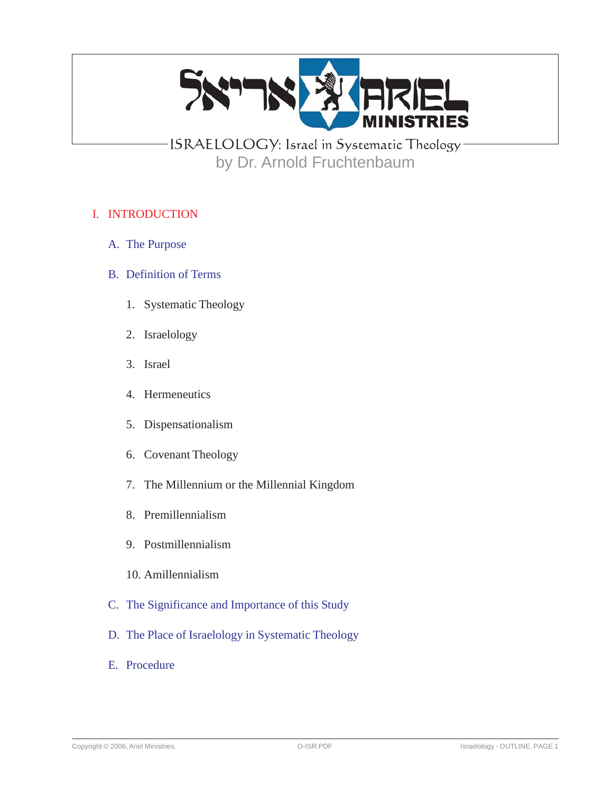

# ISRAELOLOGY: Israel in Systematic Theology by Dr. Arnold Fruchtenbaum

# I. INTRODUCTION

- A. The Purpose
- B. Definition of Terms
	- 1. Systematic Theology
	- 2. Israelology
	- 3. Israel
	- 4. Hermeneutics
	- 5. Dispensationalism
	- 6. Covenant Theology
	- 7. The Millennium or the Millennial Kingdom
	- 8. Premillennialism
	- 9. Postmillennialism
	- 10. Amillennialism
- C. The Significance and Importance of this Study
- D. The Place of Israelology in Systematic Theology
- E. Procedure

Copyright © 2006, Ariel Ministries. 
Copyright © 2006, Ariel Ministries. 
C-ISR.PDF C-ISR.PDF C-ISR.PDF Staelology - OUTLINE, PAGE 1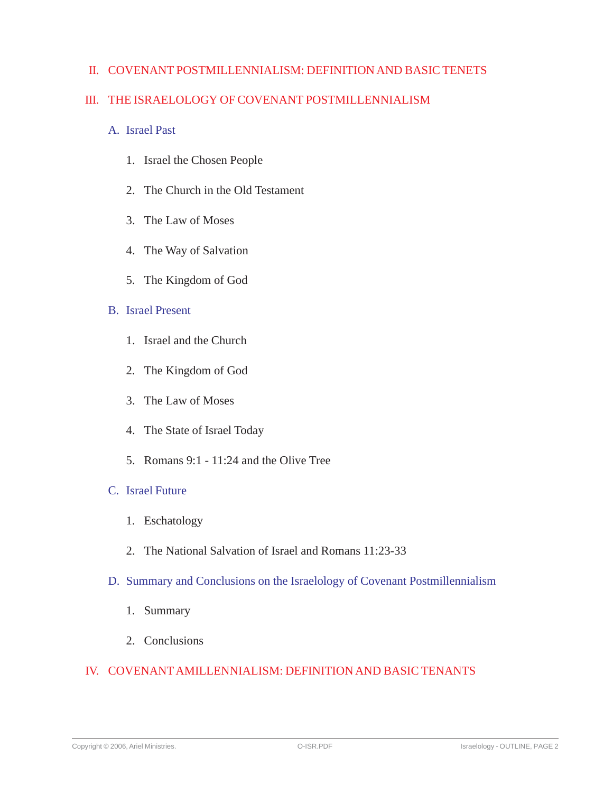# II. COVENANT POSTMILLENNIALISM: DEFINITION AND BASIC TENETS

# III. THE ISRAELOLOGY OF COVENANT POSTMILLENNIALISM

- A. Israel Past
	- 1. Israel the Chosen People
	- 2. The Church in the Old Testament
	- 3. The Law of Moses
	- 4. The Way of Salvation
	- 5. The Kingdom of God

#### B. Israel Present

- 1. Israel and the Church
- 2. The Kingdom of God
- 3. The Law of Moses
- 4. The State of Israel Today
- 5. Romans 9:1 11:24 and the Olive Tree

#### C. Israel Future

- 1. Eschatology
- 2. The National Salvation of Israel and Romans 11:23-33
- D. Summary and Conclusions on the Israelology of Covenant Postmillennialism
	- 1. Summary
	- 2. Conclusions

# IV. COVENANT AMILLENNIALISM: DEFINITION AND BASIC TENANTS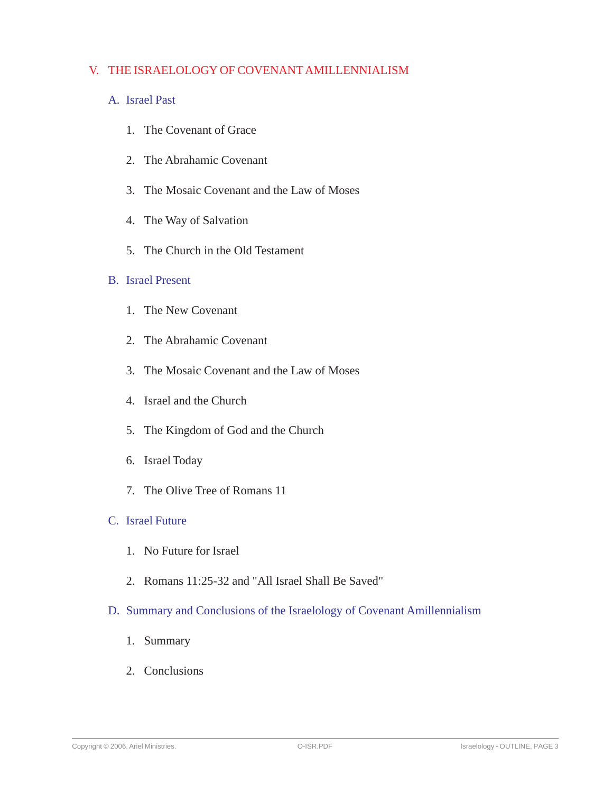# V. THE ISRAELOLOGY OF COVENANT AMILLENNIALISM

# A. Israel Past

- 1. The Covenant of Grace
- 2. The Abrahamic Covenant
- 3. The Mosaic Covenant and the Law of Moses
- 4. The Way of Salvation
- 5. The Church in the Old Testament

## B. Israel Present

- 1. The New Covenant
- 2. The Abrahamic Covenant
- 3. The Mosaic Covenant and the Law of Moses
- 4. Israel and the Church
- 5. The Kingdom of God and the Church
- 6. Israel Today
- 7. The Olive Tree of Romans 11

#### C. Israel Future

- 1. No Future for Israel
- 2. Romans 11:25-32 and "All Israel Shall Be Saved"
- D. Summary and Conclusions of the Israelology of Covenant Amillennialism
	- 1. Summary
	- 2. Conclusions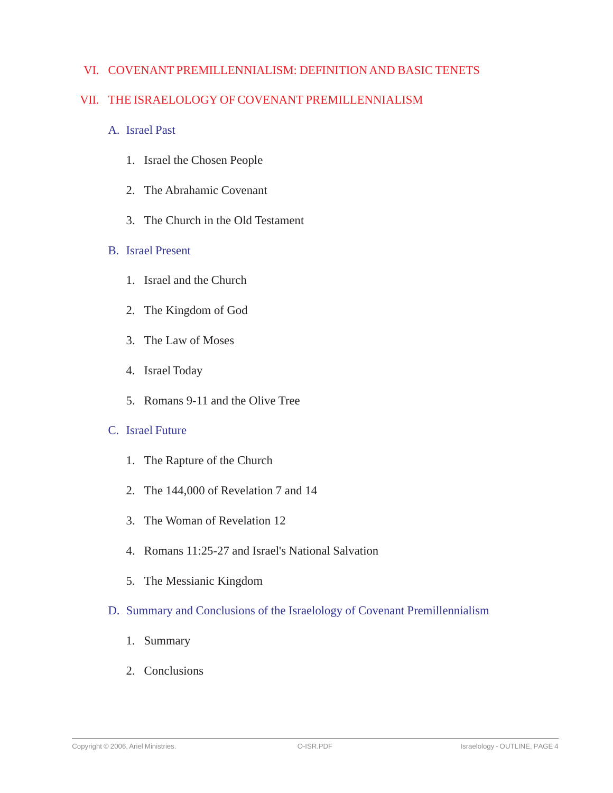# VI. COVENANT PREMILLENNIALISM: DEFINITION AND BASIC TENETS

# VII. THE ISRAELOLOGY OF COVENANT PREMILLENNIALISM

- A. Israel Past
	- 1. Israel the Chosen People
	- 2. The Abrahamic Covenant
	- 3. The Church in the Old Testament

#### B. Israel Present

- 1. Israel and the Church
- 2. The Kingdom of God
- 3. The Law of Moses
- 4. Israel Today
- 5. Romans 9-11 and the Olive Tree

# C. Israel Future

- 1. The Rapture of the Church
- 2. The 144,000 of Revelation 7 and 14
- 3. The Woman of Revelation 12
- 4. Romans 11:25-27 and Israel's National Salvation
- 5. The Messianic Kingdom
- D. Summary and Conclusions of the Israelology of Covenant Premillennialism
	- 1. Summary
	- 2. Conclusions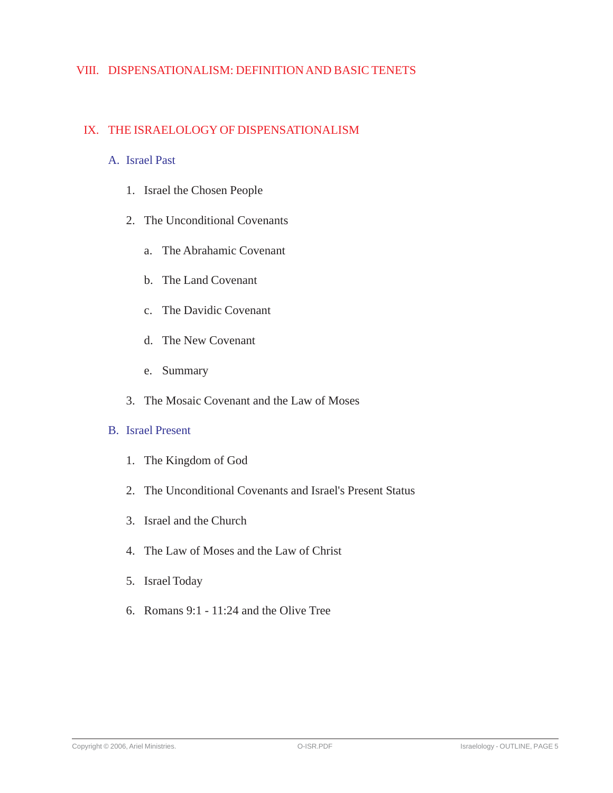# VIII. DISPENSATIONALISM: DEFINITION AND BASIC TENETS

# IX. THE ISRAELOLOGY OF DISPENSATIONALISM

#### A. Israel Past

- 1. Israel the Chosen People
- 2. The Unconditional Covenants
	- a. The Abrahamic Covenant
	- b. The Land Covenant
	- c. The Davidic Covenant
	- d. The New Covenant
	- e. Summary
- 3. The Mosaic Covenant and the Law of Moses

# B. Israel Present

- 1. The Kingdom of God
- 2. The Unconditional Covenants and Israel's Present Status
- 3. Israel and the Church
- 4. The Law of Moses and the Law of Christ
- 5. Israel Today
- 6. Romans 9:1 11:24 and the Olive Tree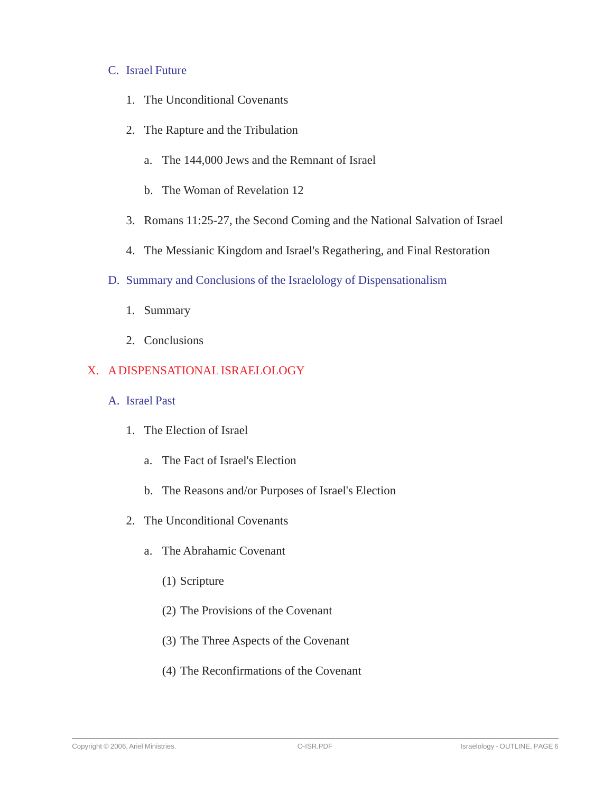#### C. Israel Future

- 1. The Unconditional Covenants
- 2. The Rapture and the Tribulation
	- a. The 144,000 Jews and the Remnant of Israel
	- b. The Woman of Revelation 12
- 3. Romans 11:25-27, the Second Coming and the National Salvation of Israel
- 4. The Messianic Kingdom and Israel's Regathering, and Final Restoration
- D. Summary and Conclusions of the Israelology of Dispensationalism
	- 1. Summary
	- 2. Conclusions

# X. A DISPENSATIONAL ISRAELOLOGY

- A. Israel Past
	- 1. The Election of Israel
		- a. The Fact of Israel's Election
		- b. The Reasons and/or Purposes of Israel's Election
	- 2. The Unconditional Covenants
		- a. The Abrahamic Covenant
			- (1) Scripture
			- (2) The Provisions of the Covenant
			- (3) The Three Aspects of the Covenant
			- (4) The Reconfirmations of the Covenant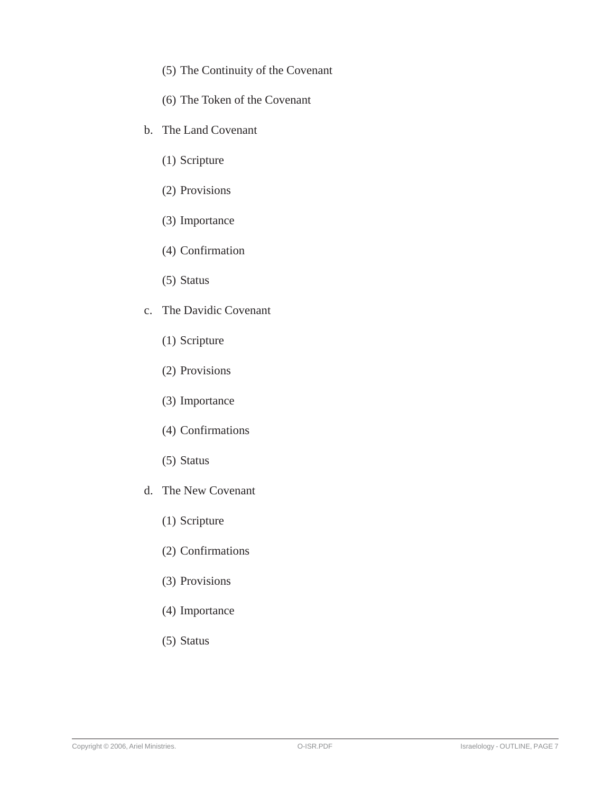- (5) The Continuity of the Covenant
- (6) The Token of the Covenant
- b. The Land Covenant
	- (1) Scripture
	- (2) Provisions
	- (3) Importance
	- (4) Confirmation
	- (5) Status
- c. The Davidic Covenant
	- (1) Scripture
	- (2) Provisions
	- (3) Importance
	- (4) Confirmations
	- (5) Status
- d. The New Covenant
	- (1) Scripture
	- (2) Confirmations
	- (3) Provisions
	- (4) Importance
	- (5) Status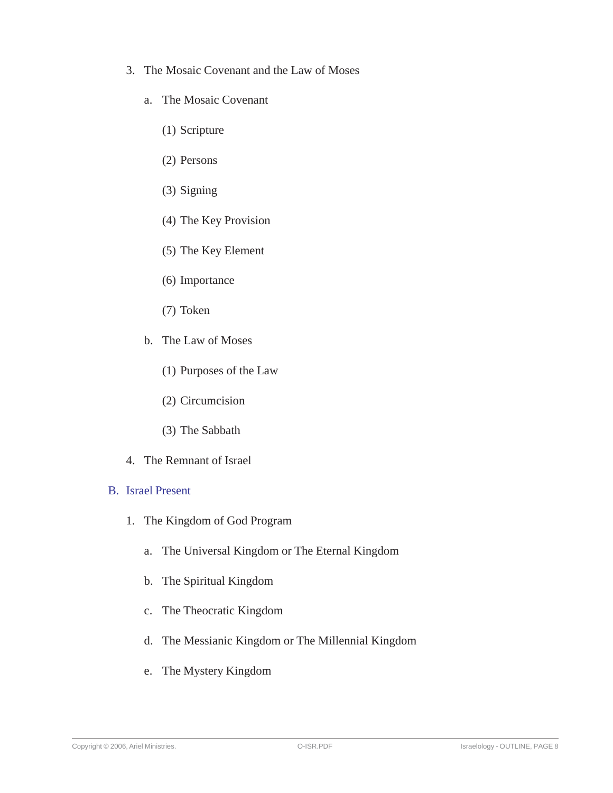- 3. The Mosaic Covenant and the Law of Moses
	- a. The Mosaic Covenant
		- (1) Scripture
		- (2) Persons
		- (3) Signing
		- (4) The Key Provision
		- (5) The Key Element
		- (6) Importance
		- (7) Token
	- b. The Law of Moses
		- (1) Purposes of the Law
		- (2) Circumcision
		- (3) The Sabbath
- 4. The Remnant of Israel

#### B. Israel Present

- 1. The Kingdom of God Program
	- a. The Universal Kingdom or The Eternal Kingdom
	- b. The Spiritual Kingdom
	- c. The Theocratic Kingdom
	- d. The Messianic Kingdom or The Millennial Kingdom
	- e. The Mystery Kingdom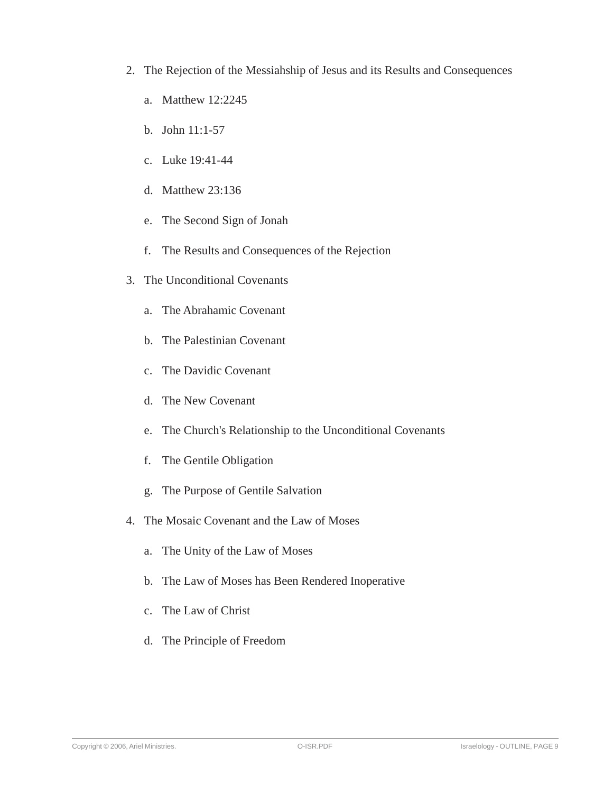- 2. The Rejection of the Messiahship of Jesus and its Results and Consequences
	- a. Matthew 12:2245
	- b. John 11:1-57
	- c. Luke 19:41-44
	- d. Matthew 23:136
	- e. The Second Sign of Jonah
	- f. The Results and Consequences of the Rejection
- 3. The Unconditional Covenants
	- a. The Abrahamic Covenant
	- b. The Palestinian Covenant
	- c. The Davidic Covenant
	- d. The New Covenant
	- e. The Church's Relationship to the Unconditional Covenants
	- f. The Gentile Obligation
	- g. The Purpose of Gentile Salvation
- 4. The Mosaic Covenant and the Law of Moses
	- a. The Unity of the Law of Moses
	- b. The Law of Moses has Been Rendered Inoperative
	- c. The Law of Christ
	- d. The Principle of Freedom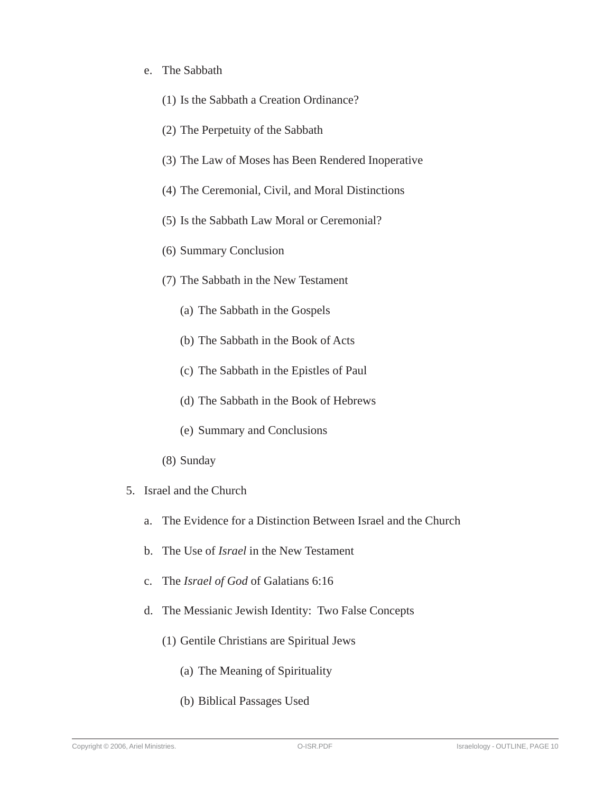#### e. The Sabbath

- (1) Is the Sabbath a Creation Ordinance?
- (2) The Perpetuity of the Sabbath
- (3) The Law of Moses has Been Rendered Inoperative
- (4) The Ceremonial, Civil, and Moral Distinctions
- (5) Is the Sabbath Law Moral or Ceremonial?
- (6) Summary Conclusion
- (7) The Sabbath in the New Testament
	- (a) The Sabbath in the Gospels
	- (b) The Sabbath in the Book of Acts
	- (c) The Sabbath in the Epistles of Paul
	- (d) The Sabbath in the Book of Hebrews
	- (e) Summary and Conclusions
- (8) Sunday
- 5. Israel and the Church
	- a. The Evidence for a Distinction Between Israel and the Church
	- b. The Use of *Israel* in the New Testament
	- c. The *Israel of God* of Galatians 6:16
	- d. The Messianic Jewish Identity: Two False Concepts
		- (1) Gentile Christians are Spiritual Jews
			- (a) The Meaning of Spirituality
			- (b) Biblical Passages Used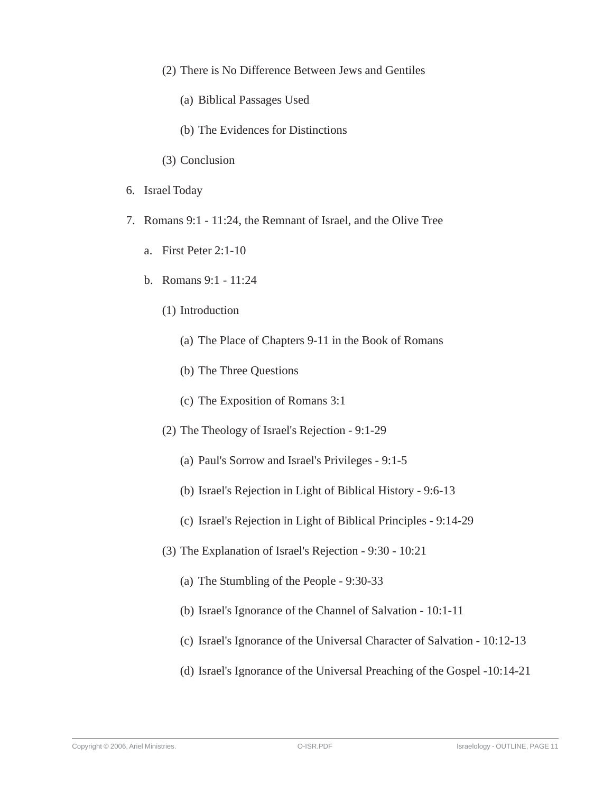- (2) There is No Difference Between Jews and Gentiles
	- (a) Biblical Passages Used
	- (b) The Evidences for Distinctions
- (3) Conclusion
- 6. Israel Today
- 7. Romans 9:1 11:24, the Remnant of Israel, and the Olive Tree
	- a. First Peter 2:1-10
	- b. Romans 9:1 11:24
		- (1) Introduction
			- (a) The Place of Chapters 9-11 in the Book of Romans
			- (b) The Three Questions
			- (c) The Exposition of Romans 3:1
		- (2) The Theology of Israel's Rejection 9:1-29
			- (a) Paul's Sorrow and Israel's Privileges 9:1-5
			- (b) Israel's Rejection in Light of Biblical History 9:6-13
			- (c) Israel's Rejection in Light of Biblical Principles 9:14-29
		- (3) The Explanation of Israel's Rejection 9:30 10:21
			- (a) The Stumbling of the People 9:30-33
			- (b) Israel's Ignorance of the Channel of Salvation 10:1-11
			- (c) Israel's Ignorance of the Universal Character of Salvation 10:12-13
			- (d) Israel's Ignorance of the Universal Preaching of the Gospel -10:14-21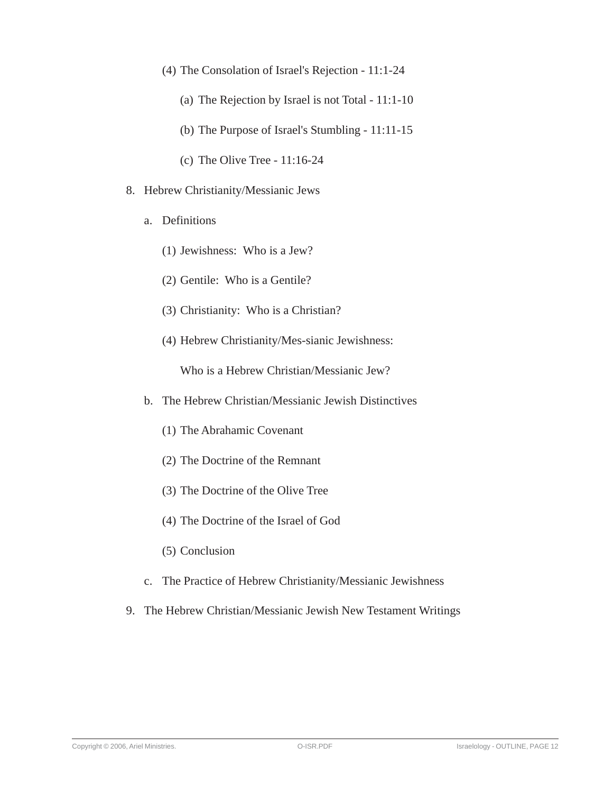- (4) The Consolation of Israel's Rejection 11:1-24
	- (a) The Rejection by Israel is not Total 11:1-10
	- (b) The Purpose of Israel's Stumbling 11:11-15
	- (c) The Olive Tree 11:16-24
- 8. Hebrew Christianity/Messianic Jews
	- a. Definitions
		- (1) Jewishness: Who is a Jew?
		- (2) Gentile: Who is a Gentile?
		- (3) Christianity: Who is a Christian?
		- (4) Hebrew Christianity/Mes-sianic Jewishness:

Who is a Hebrew Christian/Messianic Jew?

- b. The Hebrew Christian/Messianic Jewish Distinctives
	- (1) The Abrahamic Covenant
	- (2) The Doctrine of the Remnant
	- (3) The Doctrine of the Olive Tree
	- (4) The Doctrine of the Israel of God
	- (5) Conclusion
- c. The Practice of Hebrew Christianity/Messianic Jewishness
- 9. The Hebrew Christian/Messianic Jewish New Testament Writings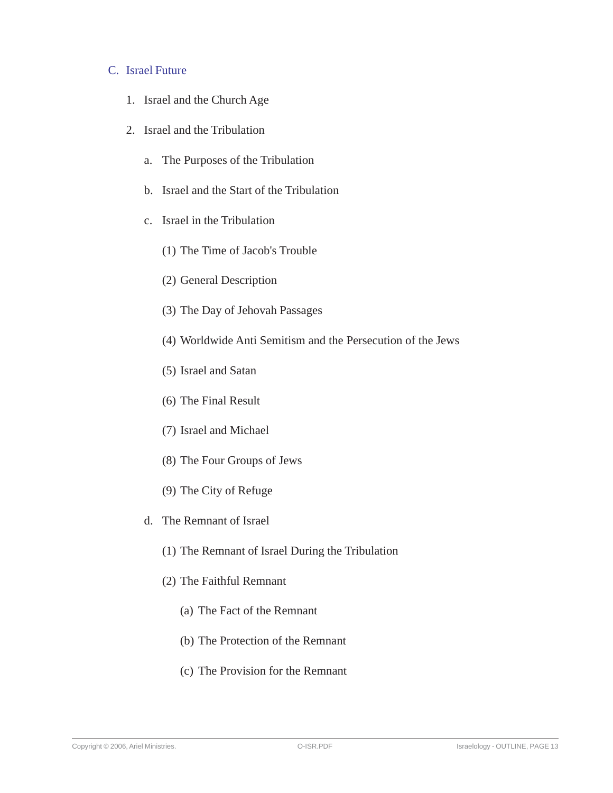#### C. Israel Future

- 1. Israel and the Church Age
- 2. Israel and the Tribulation
	- a. The Purposes of the Tribulation
	- b. Israel and the Start of the Tribulation
	- c. Israel in the Tribulation
		- (1) The Time of Jacob's Trouble
		- (2) General Description
		- (3) The Day of Jehovah Passages
		- (4) Worldwide Anti Semitism and the Persecution of the Jews
		- (5) Israel and Satan
		- (6) The Final Result
		- (7) Israel and Michael
		- (8) The Four Groups of Jews
		- (9) The City of Refuge
	- d. The Remnant of Israel
		- (1) The Remnant of Israel During the Tribulation
		- (2) The Faithful Remnant
			- (a) The Fact of the Remnant
			- (b) The Protection of the Remnant
			- (c) The Provision for the Remnant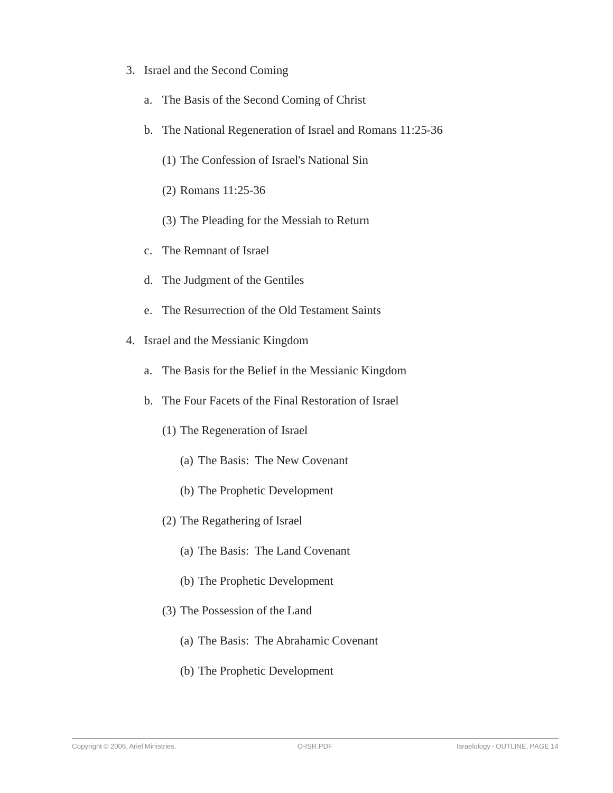- 3. Israel and the Second Coming
	- a. The Basis of the Second Coming of Christ
	- b. The National Regeneration of Israel and Romans 11:25-36
		- (1) The Confession of Israel's National Sin
		- (2) Romans 11:25-36
		- (3) The Pleading for the Messiah to Return
	- c. The Remnant of Israel
	- d. The Judgment of the Gentiles
	- e. The Resurrection of the Old Testament Saints
- 4. Israel and the Messianic Kingdom
	- a. The Basis for the Belief in the Messianic Kingdom
	- b. The Four Facets of the Final Restoration of Israel
		- (1) The Regeneration of Israel
			- (a) The Basis: The New Covenant
			- (b) The Prophetic Development
		- (2) The Regathering of Israel
			- (a) The Basis: The Land Covenant
			- (b) The Prophetic Development
		- (3) The Possession of the Land
			- (a) The Basis: The Abrahamic Covenant
			- (b) The Prophetic Development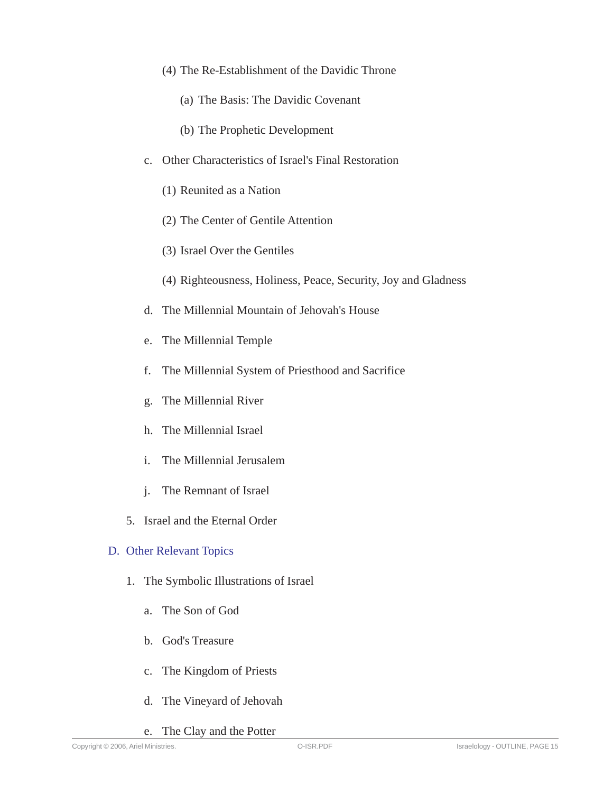- (4) The Re-Establishment of the Davidic Throne
	- (a) The Basis: The Davidic Covenant
	- (b) The Prophetic Development
- c. Other Characteristics of Israel's Final Restoration
	- (1) Reunited as a Nation
	- (2) The Center of Gentile Attention
	- (3) Israel Over the Gentiles
	- (4) Righteousness, Holiness, Peace, Security, Joy and Gladness
- d. The Millennial Mountain of Jehovah's House
- e. The Millennial Temple
- f. The Millennial System of Priesthood and Sacrifice
- g. The Millennial River
- h. The Millennial Israel
- i. The Millennial Jerusalem
- j. The Remnant of Israel
- 5. Israel and the Eternal Order

# D. Other Relevant Topics

- 1. The Symbolic Illustrations of Israel
	- a. The Son of God
	- b. God's Treasure
	- c. The Kingdom of Priests
	- d. The Vineyard of Jehovah
	- e. The Clay and the Potter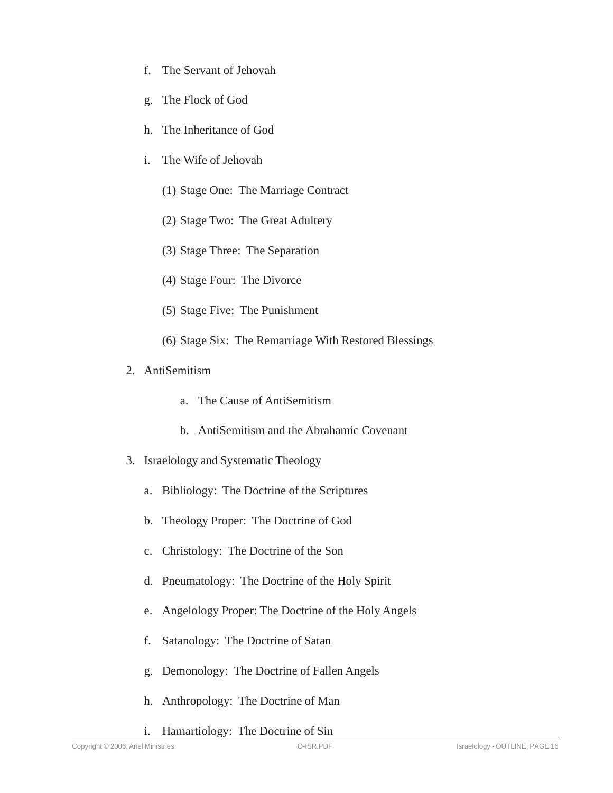- f. The Servant of Jehovah
- g. The Flock of God
- h. The Inheritance of God
- i. The Wife of Jehovah
	- (1) Stage One: The Marriage Contract
	- (2) Stage Two: The Great Adultery
	- (3) Stage Three: The Separation
	- (4) Stage Four: The Divorce
	- (5) Stage Five: The Punishment
	- (6) Stage Six: The Remarriage With Restored Blessings
- 2. AntiSemitism
	- a. The Cause of AntiSemitism
	- b. AntiSemitism and the Abrahamic Covenant
- 3. Israelology and Systematic Theology
	- a. Bibliology: The Doctrine of the Scriptures
	- b. Theology Proper: The Doctrine of God
	- c. Christology: The Doctrine of the Son
	- d. Pneumatology: The Doctrine of the Holy Spirit
	- e. Angelology Proper: The Doctrine of the Holy Angels
	- f. Satanology: The Doctrine of Satan
	- g. Demonology: The Doctrine of Fallen Angels
	- h. Anthropology: The Doctrine of Man
	- i. Hamartiology: The Doctrine of Sin